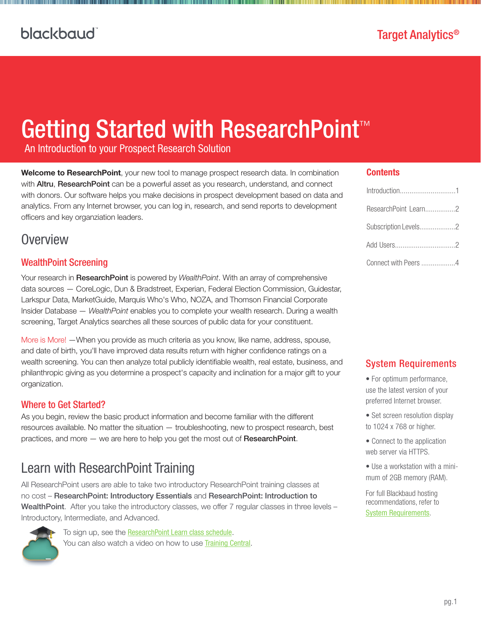# Getting Started with ResearchPoint<sup>™</sup>

An Introduction to your Prospect Research Solution

<span id="page-0-0"></span>Welcome to ResearchPoint, your new tool to manage prospect research data. In combination with **Altru, ResearchPoint** can be a powerful asset as you research, understand, and connect with donors. Our software helps you make decisions in prospect development based on data and analytics. From any Internet browser, you can log in, research, and send reports to development officers and key organziation leaders.

### **Overview**

#### WealthPoint Screening

Your research in ResearchPoint is powered by *WealthPoint*. With an array of comprehensive data sources — CoreLogic, Dun & Bradstreet, Experian, Federal Election Commission, Guidestar, Larkspur Data, MarketGuide, Marquis Who's Who, NOZA, and Thomson Financial Corporate Insider Database — *WealthPoint* enables you to complete your wealth research. During a wealth screening, Target Analytics searches all these sources of public data for your constituent.

More is More! —When you provide as much criteria as you know, like name, address, spouse, and date of birth, you'll have improved data results return with higher confidence ratings on a wealth screening. You can then analyze total publicly identifiable wealth, real estate, business, and philanthropic giving as you determine a prospect's capacity and inclination for a major gift to your organization.

#### Where to Get Started?

As you begin, review the basic product information and become familiar with the different resources available. No matter the situation — troubleshooting, new to prospect research, best practices, and more — we are here to help you get the most out of ResearchPoint.

### <span id="page-0-1"></span>Learn with ResearchPoint Training

All ResearchPoint users are able to take two introductory ResearchPoint training classes at no cost – ResearchPoint: Introductory Essentials and ResearchPoint: Introduction to Wealth Point. After you take the introductory classes, we offer 7 regular classes in three levels -Introductory, Intermediate, and Advanced.



To sign up, see the [ResearchPoint Learn class schedule](https://blackbaud.csod.com/LMS/catalog/EventsCalendar.aspx?tab_page_id=-10#m=2&d=01/05/2015&t=ResearchPoint). You can also watch a video on how to use [Training Central](http://bit.ly/1CTWNCt).

#### **Contents**

| Introduction1        |  |
|----------------------|--|
| ResearchPoint Learn2 |  |
| Subscription Levels2 |  |
|                      |  |
| Connect with Peers 4 |  |

#### System Requirements

- For optimum performance, use the latest version of your preferred Internet browser.
- Set screen resolution display to 1024 x 768 or higher.
- Connect to the application web server via HTTPS.
- Use a workstation with a minimum of 2GB memory (RAM).

For full Blackbaud hosting recommendations, refer to [System Requirements](https://www.blackbaud.com/files/support/guides/bba/rpsysreq.pdf).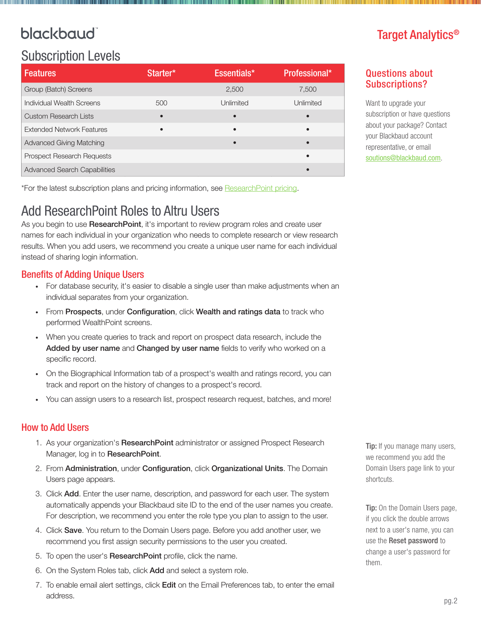# blackbaud<sup>®</sup>

# <span id="page-1-0"></span>Subscription Levels

| <b>Features</b>                     | Starter*  | Essentials* | Professional* |
|-------------------------------------|-----------|-------------|---------------|
| Group (Batch) Screens               |           | 2.500       | 7,500         |
| Individual Wealth Screens           | 500       | Unlimited   | Unlimited     |
| <b>Custom Research Lists</b>        | $\bullet$ |             |               |
| <b>Extended Network Features</b>    | $\bullet$ | $\bullet$   | $\bullet$     |
| <b>Advanced Giving Matching</b>     |           |             |               |
| <b>Prospect Research Requests</b>   |           |             |               |
| <b>Advanced Search Capabilities</b> |           |             |               |

\*For the latest subscription plans and pricing information, see [ResearchPoint pricing](https://www.blackbaud.com/analytics/research-point-pricing).

# <span id="page-1-1"></span>Add ResearchPoint Roles to Altru Users

As you begin to use ResearchPoint, it's important to review program roles and create user names for each individual in your organization who needs to complete research or view research results. When you add users, we recommend you create a unique user name for each individual instead of sharing login information.

### Benefits of Adding Unique Users

- For database security, it's easier to disable a single user than make adjustments when an individual separates from your organization.
- From Prospects, under Configuration, click Wealth and ratings data to track who performed WealthPoint screens.
- When you create queries to track and report on prospect data research, include the Added by user name and Changed by user name fields to verify who worked on a specific record.
- On the Biographical Information tab of a prospect's wealth and ratings record, you can track and report on the history of changes to a prospect's record.
- You can assign users to a research list, prospect research request, batches, and more!

### How to Add Users

- 1. As your organization's Research Point administrator or assigned Prospect Research Manager, log in to ResearchPoint.
- 2. From Administration, under Configuration, click Organizational Units. The Domain Users page appears.
- 3. Click Add. Enter the user name, description, and password for each user. The system automatically appends your Blackbaud site ID to the end of the user names you create. For description, we recommend you enter the role type you plan to assign to the user.
- 4. Click Save. You return to the Domain Users page. Before you add another user, we recommend you first assign security permissions to the user you created.
- 5. To open the user's ResearchPoint profile, click the name.
- 6. On the System Roles tab, click Add and select a system role.
- 7. To enable email alert settings, click Edit on the Email Preferences tab, to enter the email address.

# Target Analytics®

### Questions about Subscriptions?

Want to upgrade your subscription or have questions about your package? Contact your Blackbaud account representative, or email [soutions@blackbaud.com](mailto:solutions@blackbaud.com).

Tip: If you manage many users, we recommend you add the Domain Users page link to your shortcuts.

Tip: On the Domain Users page, if you click the double arrows next to a user's name, you can use the Reset password to change a user's password for them.